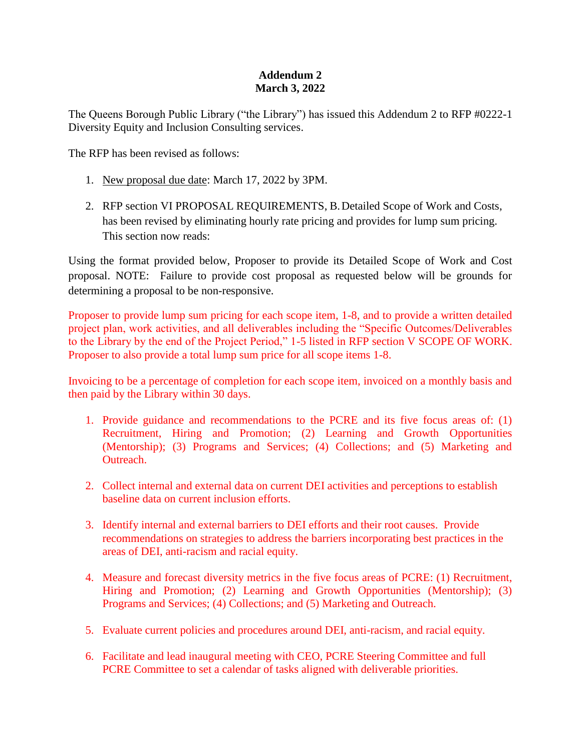## **Addendum 2 March 3, 2022**

The Queens Borough Public Library ("the Library") has issued this Addendum 2 to RFP #0222-1 Diversity Equity and Inclusion Consulting services.

The RFP has been revised as follows:

- 1. New proposal due date: March 17, 2022 by 3PM.
- 2. RFP section VI PROPOSAL REQUIREMENTS, B.Detailed Scope of Work and Costs, has been revised by eliminating hourly rate pricing and provides for lump sum pricing. This section now reads:

Using the format provided below, Proposer to provide its Detailed Scope of Work and Cost proposal. NOTE: Failure to provide cost proposal as requested below will be grounds for determining a proposal to be non-responsive.

Proposer to provide lump sum pricing for each scope item, 1-8, and to provide a written detailed project plan, work activities, and all deliverables including the "Specific Outcomes/Deliverables to the Library by the end of the Project Period," 1-5 listed in RFP section V SCOPE OF WORK. Proposer to also provide a total lump sum price for all scope items 1-8.

Invoicing to be a percentage of completion for each scope item, invoiced on a monthly basis and then paid by the Library within 30 days.

- 1. Provide guidance and recommendations to the PCRE and its five focus areas of: (1) Recruitment, Hiring and Promotion; (2) Learning and Growth Opportunities (Mentorship); (3) Programs and Services; (4) Collections; and (5) Marketing and Outreach.
- 2. Collect internal and external data on current DEI activities and perceptions to establish baseline data on current inclusion efforts.
- 3. Identify internal and external barriers to DEI efforts and their root causes. Provide recommendations on strategies to address the barriers incorporating best practices in the areas of DEI, anti-racism and racial equity.
- 4. Measure and forecast diversity metrics in the five focus areas of PCRE: (1) Recruitment, Hiring and Promotion; (2) Learning and Growth Opportunities (Mentorship); (3) Programs and Services; (4) Collections; and (5) Marketing and Outreach.
- 5. Evaluate current policies and procedures around DEI, anti-racism, and racial equity.
- 6. Facilitate and lead inaugural meeting with CEO, PCRE Steering Committee and full PCRE Committee to set a calendar of tasks aligned with deliverable priorities.